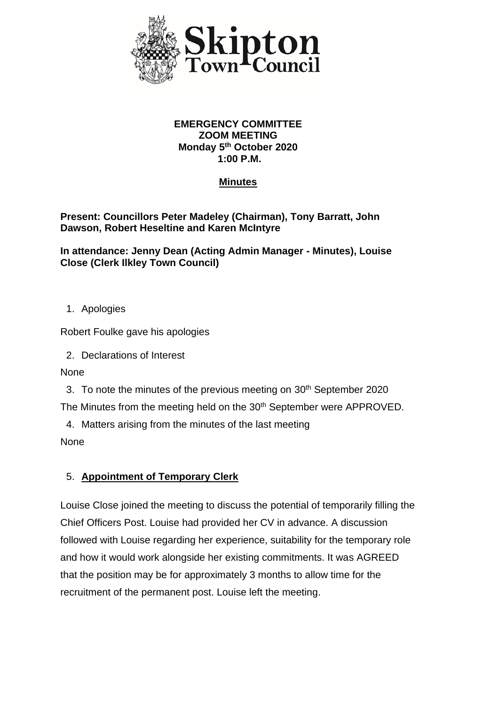

#### **EMERGENCY COMMITTEE ZOOM MEETING Monday 5th October 2020 1:00 P.M.**

## **Minutes**

### **Present: Councillors Peter Madeley (Chairman), Tony Barratt, John Dawson, Robert Heseltine and Karen McIntyre**

#### **In attendance: Jenny Dean (Acting Admin Manager - Minutes), Louise Close (Clerk Ilkley Town Council)**

1. Apologies

Robert Foulke gave his apologies

2. Declarations of Interest

**None** 

3. To note the minutes of the previous meeting on 30<sup>th</sup> September 2020 The Minutes from the meeting held on the 30<sup>th</sup> September were APPROVED.

4. Matters arising from the minutes of the last meeting

None

## 5. **Appointment of Temporary Clerk**

Louise Close joined the meeting to discuss the potential of temporarily filling the Chief Officers Post. Louise had provided her CV in advance. A discussion followed with Louise regarding her experience, suitability for the temporary role and how it would work alongside her existing commitments. It was AGREED that the position may be for approximately 3 months to allow time for the recruitment of the permanent post. Louise left the meeting.